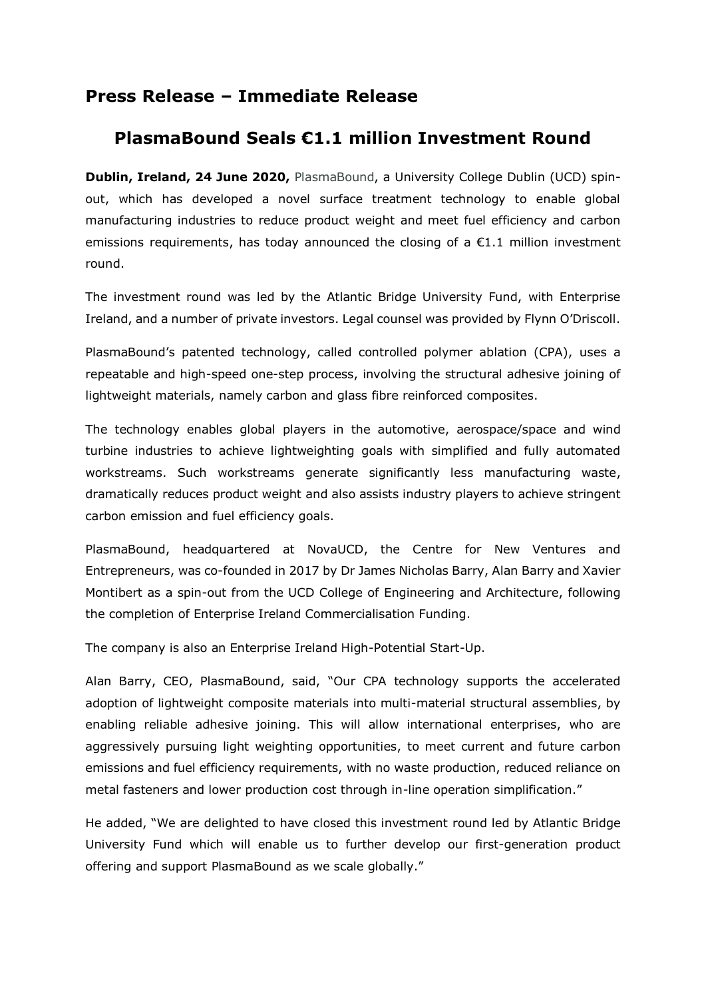## **Press Release – Immediate Release**

## **PlasmaBound Seals €1.1 million Investment Round**

**Dublin, Ireland, 24 June 2020,** [PlasmaBound,](http://www.plasmabound.com/) a University College Dublin (UCD) spinout, which has developed a novel surface treatment technology to enable global manufacturing industries to reduce product weight and meet fuel efficiency and carbon emissions requirements, has today announced the closing of a  $\epsilon$ 1.1 million investment round.

The investment round was led by the Atlantic Bridge University Fund, with Enterprise Ireland, and a number of private investors. Legal counsel was provided by Flynn O'Driscoll.

PlasmaBound's patented technology, called controlled polymer ablation (CPA), uses a repeatable and high-speed one-step process, involving the structural adhesive joining of lightweight materials, namely carbon and glass fibre reinforced composites.

The technology enables global players in the automotive, aerospace/space and wind turbine industries to achieve lightweighting goals with simplified and fully automated workstreams. Such workstreams generate significantly less manufacturing waste, dramatically reduces product weight and also assists industry players to achieve stringent carbon emission and fuel efficiency goals.

PlasmaBound, headquartered at NovaUCD, the Centre for New Ventures and Entrepreneurs, was co-founded in 2017 by Dr James Nicholas Barry, Alan Barry and Xavier Montibert as a spin-out from the UCD College of Engineering and Architecture, following the completion of Enterprise Ireland Commercialisation Funding.

The company is also an Enterprise Ireland High-Potential Start-Up.

Alan Barry, CEO, PlasmaBound, said, "Our CPA technology supports the accelerated adoption of lightweight composite materials into multi-material structural assemblies, by enabling reliable adhesive joining. This will allow international enterprises, who are aggressively pursuing light weighting opportunities, to meet current and future carbon emissions and fuel efficiency requirements, with no waste production, reduced reliance on metal fasteners and lower production cost through in-line operation simplification."

He added, "We are delighted to have closed this investment round led by Atlantic Bridge University Fund which will enable us to further develop our first-generation product offering and support PlasmaBound as we scale globally."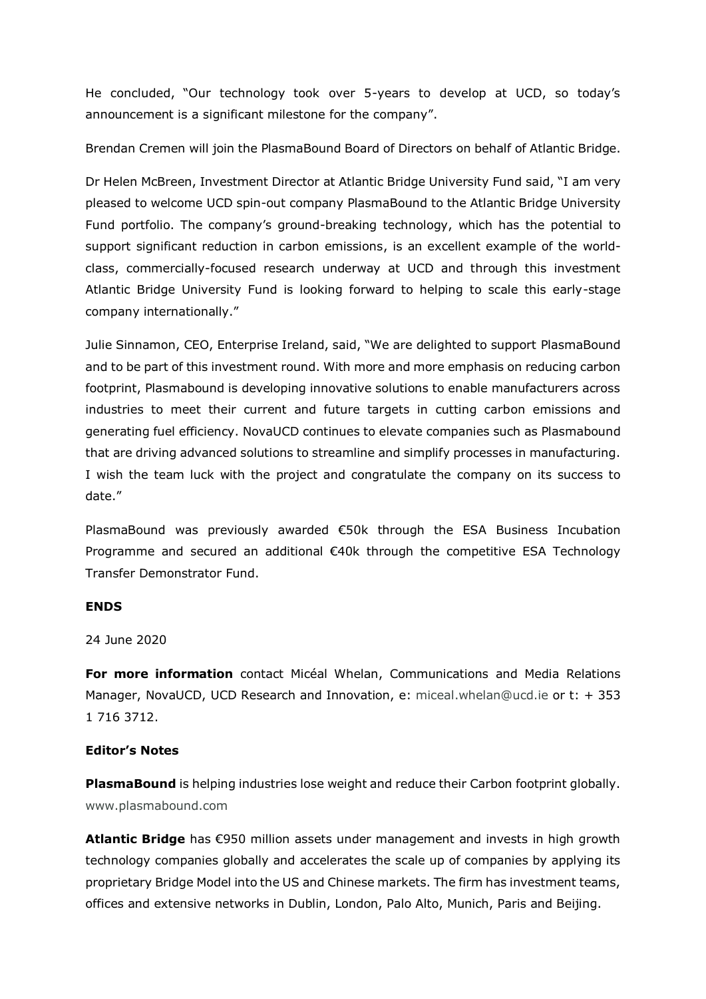He concluded, "Our technology took over 5-years to develop at UCD, so today's announcement is a significant milestone for the company".

Brendan Cremen will join the PlasmaBound Board of Directors on behalf of Atlantic Bridge.

Dr Helen McBreen, Investment Director at Atlantic Bridge University Fund said, "I am very pleased to welcome UCD spin-out company PlasmaBound to the Atlantic Bridge University Fund portfolio. The company's ground-breaking technology, which has the potential to support significant reduction in carbon emissions, is an excellent example of the worldclass, commercially-focused research underway at UCD and through this investment Atlantic Bridge University Fund is looking forward to helping to scale this early-stage company internationally."

Julie Sinnamon, CEO, Enterprise Ireland, said, "We are delighted to support PlasmaBound and to be part of this investment round. With more and more emphasis on reducing carbon footprint, Plasmabound is developing innovative solutions to enable manufacturers across industries to meet their current and future targets in cutting carbon emissions and generating fuel efficiency. NovaUCD continues to elevate companies such as Plasmabound that are driving advanced solutions to streamline and simplify processes in manufacturing. I wish the team luck with the project and congratulate the company on its success to date."

PlasmaBound was previously awarded €50k through the ESA Business Incubation Programme and secured an additional €40k through the competitive ESA Technology Transfer Demonstrator Fund.

## **ENDS**

24 June 2020

**For more information** contact Micéal Whelan, Communications and Media Relations Manager, NovaUCD, UCD Research and Innovation, e: [miceal.whelan@ucd.ie](mailto:miceal.whelan@ucd.ie) or t: + 353 1 716 3712.

## **Editor's Notes**

**PlasmaBound** is helping industries lose weight and reduce their Carbon footprint globally. [www.plasmabound.com](http://www.plasmabound.com/)

**Atlantic Bridge** has €950 million assets under management and invests in high growth technology companies globally and accelerates the scale up of companies by applying its proprietary Bridge Model into the US and Chinese markets. The firm has investment teams, offices and extensive networks in Dublin, London, Palo Alto, Munich, Paris and Beijing.